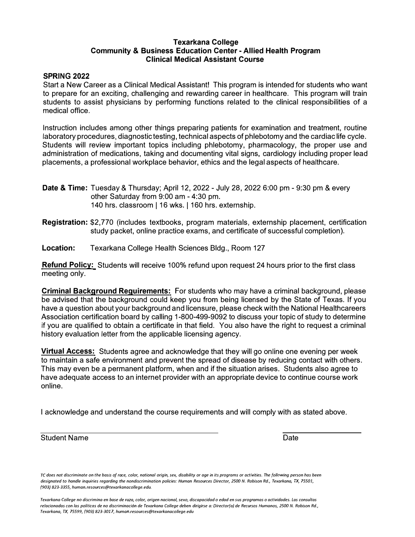# **Texarkana College Community & Business Education Center - Allied Health Program Clinical Medical Assistant Course**

### **SPRING 2022**

Start a New Career as a Clinical Medical Assistant! This program is intended for students who want to prepare for an exciting, challenging and rewarding career in healthcare. This program will train students to assist physicians by performing functions related to the clinical responsibilities of a medical office.

Instruction includes among other things preparing patients for examination and treatment, routine laboratory procedures, diagnostic testing, technical aspects of phlebotomy and the cardiac life cycle. Students will review important topics including phlebotomy, pharmacology, the proper use and administration of medications, taking and documenting vital signs, cardiology including proper lead placements, a professional workplace behavior, ethics and the legal aspects of healthcare.

- **Date & Time:** Tuesday & Thursday; April 12, 2022 July 28, 2022 6:00 pm 9:30 pm & every other Saturday from 9:00 am - 4:30 pm. 140 hrs. classroom | 16 wks. | 160 hrs. externship.
- **Registration:** \$2,770 (includes textbooks, program materials, externship placement, certification study packet, online practice exams, and certificate of successful completion).
- **Location:** Texarkana College Health Sciences Bldg., Room 127

**Refund Policy:** Students will receive 100% refund upon request 24 hours prior to the first class meeting only.

**Criminal Background Requirements:** For students who may have a criminal background, please be advised that the background could keep you from being licensed by the State of Texas. If you have a question about your background and licensure, please check with the National Healthcareers Association certification board by calling 1-800-499-9092 to discuss your topic of study to determine if you are qualified to obtain a certificate in that field. You also have the right to request a criminal history evaluation letter from the applicable licensing agency.

**Virtual Access:** Students agree and acknowledge that they will go online one evening per week to maintain a safe environment and prevent the spread of disease by reducing contact with others. This may even be a permanent platform, when and if the situation arises. Students also agree to have adequate access to an internet provider with an appropriate device to continue course work online.

I acknowledge and understand the course requirements and will comply with as stated above.

Student Name Date Controller and the Date Date Date Date Date

*TC does not discriminate on the basis of race, color, national origin, sex, disability or age in its programs or activities. The following person has been designated to handle inquiries regarding the nondiscrimination policies: Human Resources Director, 2500 N. Robison Rd., Texarkana, TX, 75501, /903) 823-3355, human.resources@texarkanacollege.edu.* 

*Texarkana College na discrimina en base de raza, color, origen nacional, sexo, discapacidad o edad en sus programas o actividades. Las consu/tas re/acionadas con las politicos de no discriminaci6n de Texarkana College deben dirigirse a: Director/a} de Recursos Humanos, 2500 N. Robison Rd., Texarkana, TX, 75599, /903} 823-3017, human.resources@texarkanacollege.edu*